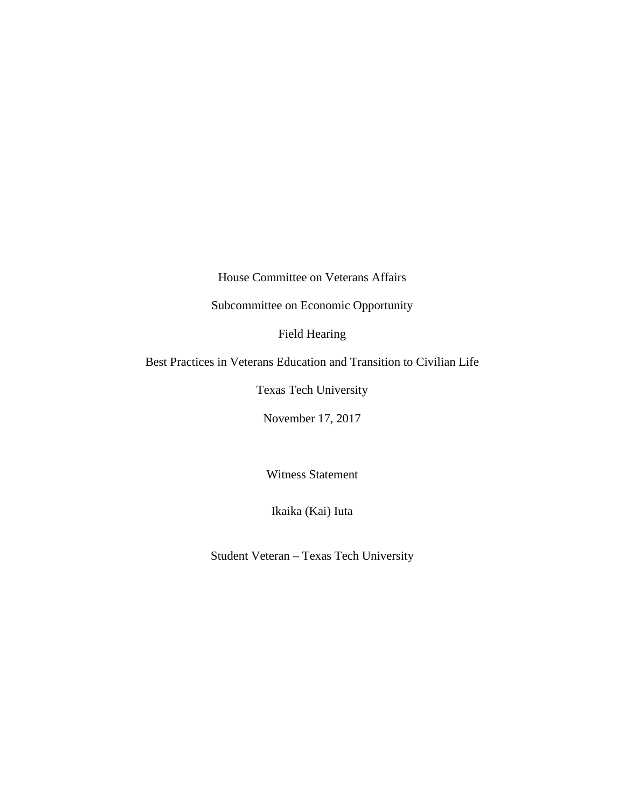House Committee on Veterans Affairs

Subcommittee on Economic Opportunity

Field Hearing

Best Practices in Veterans Education and Transition to Civilian Life

Texas Tech University

November 17, 2017

Witness Statement

Ikaika (Kai) Iuta

Student Veteran – Texas Tech University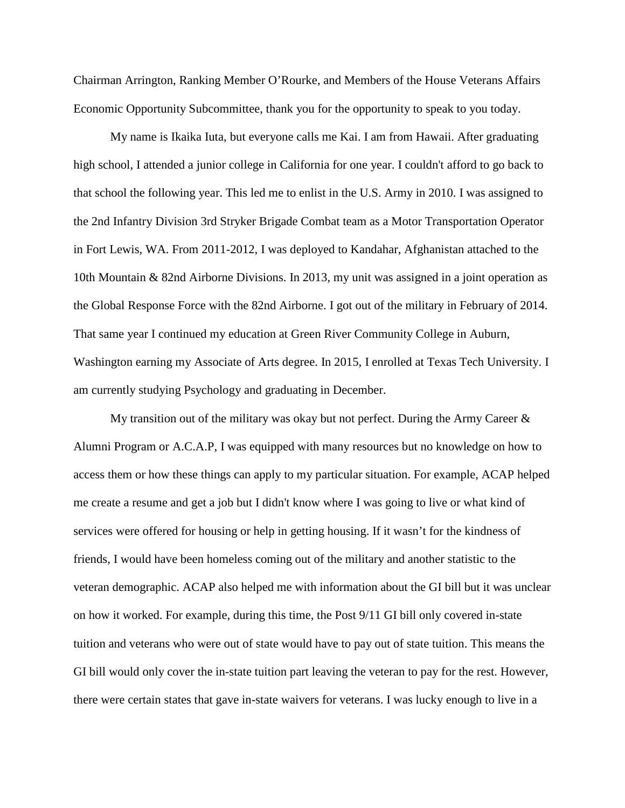Chairman Arrington, Ranking Member O'Rourke, and Members of the House Veterans Affairs Economic Opportunity Subcommittee, thank you for the opportunity to speak to you today.

My name is Ikaika Iuta, but everyone calls me Kai. I am from Hawaii. After graduating high school, I attended a junior college in California for one year. I couldn't afford to go back to that school the following year. This led me to enlist in the U.S. Army in 2010. I was assigned to the 2nd Infantry Division 3rd Stryker Brigade Combat team as a Motor Transportation Operator in Fort Lewis, WA. From 2011-2012, I was deployed to Kandahar, Afghanistan attached to the 10th Mountain & 82nd Airborne Divisions. In 2013, my unit was assigned in a joint operation as the Global Response Force with the 82nd Airborne. I got out of the military in February of 2014. That same year I continued my education at Green River Community College in Auburn, Washington earning my Associate of Arts degree. In 2015, I enrolled at Texas Tech University. I am currently studying Psychology and graduating in December.

My transition out of the military was okay but not perfect. During the Army Career  $\&$ Alumni Program or A.C.A.P, I was equipped with many resources but no knowledge on how to access them or how these things can apply to my particular situation. For example, ACAP helped me create a resume and get a job but I didn't know where I was going to live or what kind of services were offered for housing or help in getting housing. If it wasn't for the kindness of friends, I would have been homeless coming out of the military and another statistic to the veteran demographic. ACAP also helped me with information about the GI bill but it was unclear on how it worked. For example, during this time, the Post 9/11 GI bill only covered in-state tuition and veterans who were out of state would have to pay out of state tuition. This means the GI bill would only cover the in-state tuition part leaving the veteran to pay for the rest. However, there were certain states that gave in-state waivers for veterans. I was lucky enough to live in a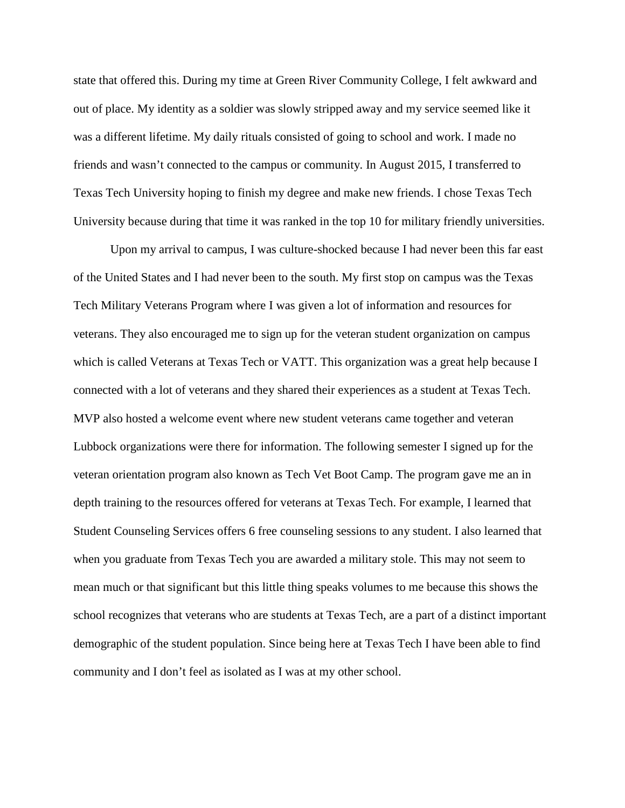state that offered this. During my time at Green River Community College, I felt awkward and out of place. My identity as a soldier was slowly stripped away and my service seemed like it was a different lifetime. My daily rituals consisted of going to school and work. I made no friends and wasn't connected to the campus or community. In August 2015, I transferred to Texas Tech University hoping to finish my degree and make new friends. I chose Texas Tech University because during that time it was ranked in the top 10 for military friendly universities.

Upon my arrival to campus, I was culture-shocked because I had never been this far east of the United States and I had never been to the south. My first stop on campus was the Texas Tech Military Veterans Program where I was given a lot of information and resources for veterans. They also encouraged me to sign up for the veteran student organization on campus which is called Veterans at Texas Tech or VATT. This organization was a great help because I connected with a lot of veterans and they shared their experiences as a student at Texas Tech. MVP also hosted a welcome event where new student veterans came together and veteran Lubbock organizations were there for information. The following semester I signed up for the veteran orientation program also known as Tech Vet Boot Camp. The program gave me an in depth training to the resources offered for veterans at Texas Tech. For example, I learned that Student Counseling Services offers 6 free counseling sessions to any student. I also learned that when you graduate from Texas Tech you are awarded a military stole. This may not seem to mean much or that significant but this little thing speaks volumes to me because this shows the school recognizes that veterans who are students at Texas Tech, are a part of a distinct important demographic of the student population. Since being here at Texas Tech I have been able to find community and I don't feel as isolated as I was at my other school.